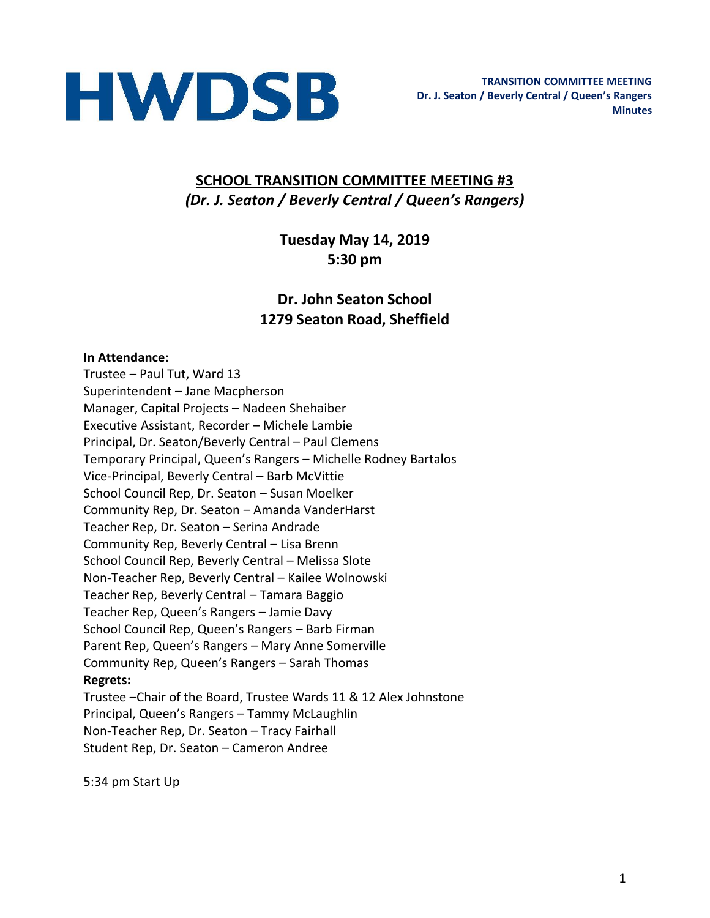

## **SCHOOL TRANSITION COMMITTEE MEETING #3** *(Dr. J. Seaton / Beverly Central / Queen's Rangers)*

## **Tuesday May 14, 2019 5:30 pm**

## **Dr. John Seaton School 1279 Seaton Road, Sheffield**

#### **In Attendance:**

Trustee – Paul Tut, Ward 13 Superintendent – Jane Macpherson Manager, Capital Projects – Nadeen Shehaiber Executive Assistant, Recorder – Michele Lambie Principal, Dr. Seaton/Beverly Central – Paul Clemens Temporary Principal, Queen's Rangers – Michelle Rodney Bartalos Vice-Principal, Beverly Central – Barb McVittie School Council Rep, Dr. Seaton – Susan Moelker Community Rep, Dr. Seaton – Amanda VanderHarst Teacher Rep, Dr. Seaton – Serina Andrade Community Rep, Beverly Central – Lisa Brenn School Council Rep, Beverly Central – Melissa Slote Non-Teacher Rep, Beverly Central – Kailee Wolnowski Teacher Rep, Beverly Central – Tamara Baggio Teacher Rep, Queen's Rangers – Jamie Davy School Council Rep, Queen's Rangers – Barb Firman Parent Rep, Queen's Rangers – Mary Anne Somerville Community Rep, Queen's Rangers – Sarah Thomas **Regrets:**  Trustee –Chair of the Board, Trustee Wards 11 & 12 Alex Johnstone Principal, Queen's Rangers – Tammy McLaughlin Non-Teacher Rep, Dr. Seaton – Tracy Fairhall Student Rep, Dr. Seaton – Cameron Andree

5:34 pm Start Up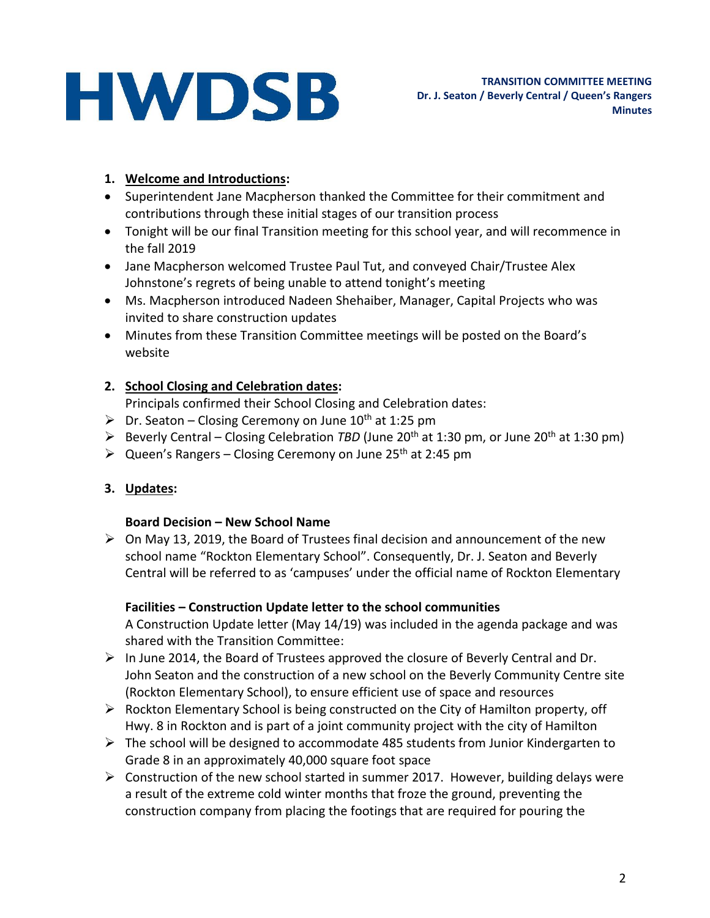## **1. Welcome and Introductions:**

- Superintendent Jane Macpherson thanked the Committee for their commitment and contributions through these initial stages of our transition process
- Tonight will be our final Transition meeting for this school year, and will recommence in the fall 2019
- Jane Macpherson welcomed Trustee Paul Tut, and conveyed Chair/Trustee Alex Johnstone's regrets of being unable to attend tonight's meeting
- Ms. Macpherson introduced Nadeen Shehaiber, Manager, Capital Projects who was invited to share construction updates
- Minutes from these Transition Committee meetings will be posted on the Board's website

## **2. School Closing and Celebration dates:**

Principals confirmed their School Closing and Celebration dates:

- $\triangleright$  Dr. Seaton Closing Ceremony on June 10<sup>th</sup> at 1:25 pm
- Beverly Central Closing Celebration *TBD* (June 20th at 1:30 pm, or June 20th at 1:30 pm)
- $\triangleright$  Queen's Rangers Closing Ceremony on June 25<sup>th</sup> at 2:45 pm

## **3. Updates:**

## **Board Decision – New School Name**

 $\triangleright$  On May 13, 2019, the Board of Trustees final decision and announcement of the new school name "Rockton Elementary School". Consequently, Dr. J. Seaton and Beverly Central will be referred to as 'campuses' under the official name of Rockton Elementary

## **Facilities – Construction Update letter to the school communities**

A Construction Update letter (May 14/19) was included in the agenda package and was shared with the Transition Committee:

- $\triangleright$  In June 2014, the Board of Trustees approved the closure of Beverly Central and Dr. John Seaton and the construction of a new school on the Beverly Community Centre site (Rockton Elementary School), to ensure efficient use of space and resources
- $\triangleright$  Rockton Elementary School is being constructed on the City of Hamilton property, off Hwy. 8 in Rockton and is part of a joint community project with the city of Hamilton
- $\triangleright$  The school will be designed to accommodate 485 students from Junior Kindergarten to Grade 8 in an approximately 40,000 square foot space
- $\triangleright$  Construction of the new school started in summer 2017. However, building delays were a result of the extreme cold winter months that froze the ground, preventing the construction company from placing the footings that are required for pouring the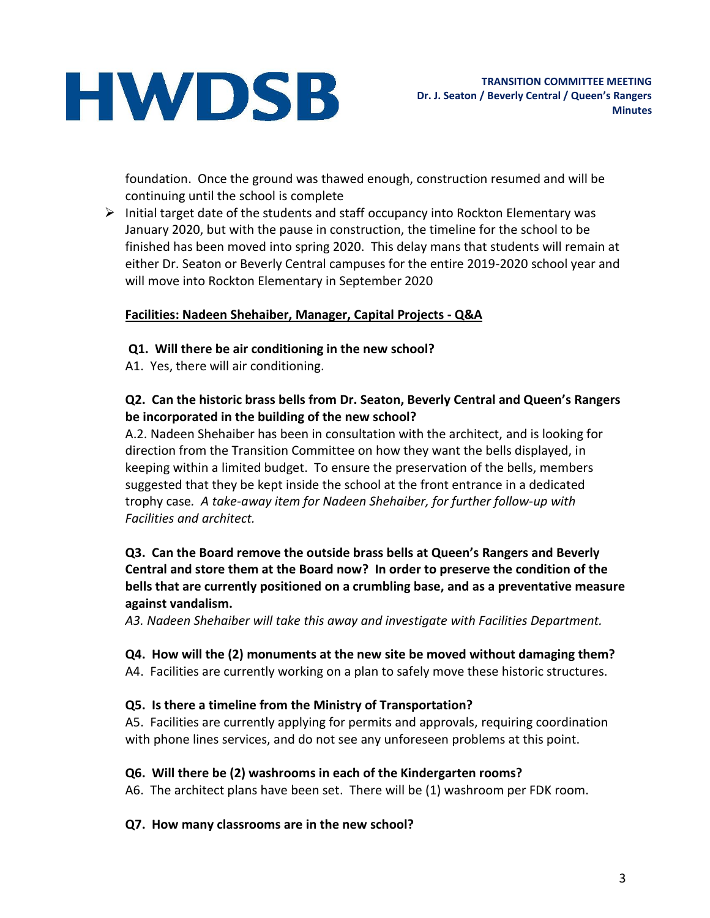foundation. Once the ground was thawed enough, construction resumed and will be continuing until the school is complete

 $\triangleright$  Initial target date of the students and staff occupancy into Rockton Elementary was January 2020, but with the pause in construction, the timeline for the school to be finished has been moved into spring 2020. This delay mans that students will remain at either Dr. Seaton or Beverly Central campuses for the entire 2019-2020 school year and will move into Rockton Elementary in September 2020

#### **Facilities: Nadeen Shehaiber, Manager, Capital Projects - Q&A**

- **Q1. Will there be air conditioning in the new school?**
- A1. Yes, there will air conditioning.

#### **Q2. Can the historic brass bells from Dr. Seaton, Beverly Central and Queen's Rangers be incorporated in the building of the new school?**

A.2. Nadeen Shehaiber has been in consultation with the architect, and is looking for direction from the Transition Committee on how they want the bells displayed, in keeping within a limited budget. To ensure the preservation of the bells, members suggested that they be kept inside the school at the front entrance in a dedicated trophy case*. A take-away item for Nadeen Shehaiber, for further follow-up with Facilities and architect.*

#### **Q3. Can the Board remove the outside brass bells at Queen's Rangers and Beverly Central and store them at the Board now? In order to preserve the condition of the bells that are currently positioned on a crumbling base, and as a preventative measure against vandalism.**

*A3. Nadeen Shehaiber will take this away and investigate with Facilities Department.*

#### **Q4. How will the (2) monuments at the new site be moved without damaging them?**

A4. Facilities are currently working on a plan to safely move these historic structures.

#### **Q5. Is there a timeline from the Ministry of Transportation?**

A5. Facilities are currently applying for permits and approvals, requiring coordination with phone lines services, and do not see any unforeseen problems at this point.

#### **Q6. Will there be (2) washrooms in each of the Kindergarten rooms?**

A6. The architect plans have been set. There will be (1) washroom per FDK room.

#### **Q7. How many classrooms are in the new school?**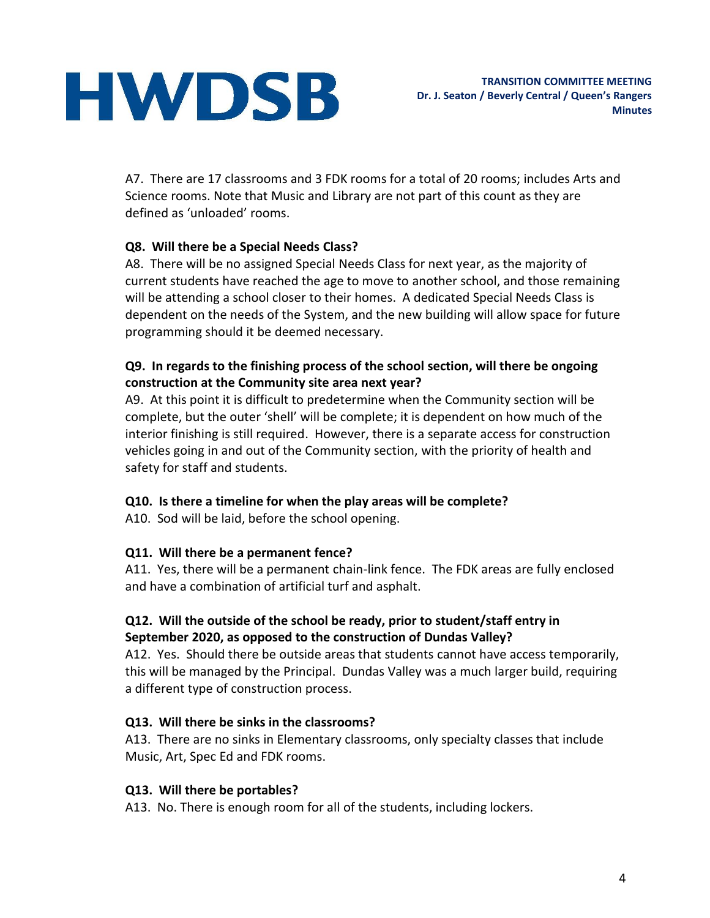A7. There are 17 classrooms and 3 FDK rooms for a total of 20 rooms; includes Arts and Science rooms. Note that Music and Library are not part of this count as they are defined as 'unloaded' rooms.

## **Q8. Will there be a Special Needs Class?**

A8. There will be no assigned Special Needs Class for next year, as the majority of current students have reached the age to move to another school, and those remaining will be attending a school closer to their homes. A dedicated Special Needs Class is dependent on the needs of the System, and the new building will allow space for future programming should it be deemed necessary.

## **Q9. In regards to the finishing process of the school section, will there be ongoing construction at the Community site area next year?**

A9. At this point it is difficult to predetermine when the Community section will be complete, but the outer 'shell' will be complete; it is dependent on how much of the interior finishing is still required. However, there is a separate access for construction vehicles going in and out of the Community section, with the priority of health and safety for staff and students.

## **Q10. Is there a timeline for when the play areas will be complete?**

A10. Sod will be laid, before the school opening.

## **Q11. Will there be a permanent fence?**

A11. Yes, there will be a permanent chain-link fence. The FDK areas are fully enclosed and have a combination of artificial turf and asphalt.

## **Q12. Will the outside of the school be ready, prior to student/staff entry in September 2020, as opposed to the construction of Dundas Valley?**

A12. Yes. Should there be outside areas that students cannot have access temporarily, this will be managed by the Principal. Dundas Valley was a much larger build, requiring a different type of construction process.

## **Q13. Will there be sinks in the classrooms?**

A13. There are no sinks in Elementary classrooms, only specialty classes that include Music, Art, Spec Ed and FDK rooms.

## **Q13. Will there be portables?**

A13. No. There is enough room for all of the students, including lockers.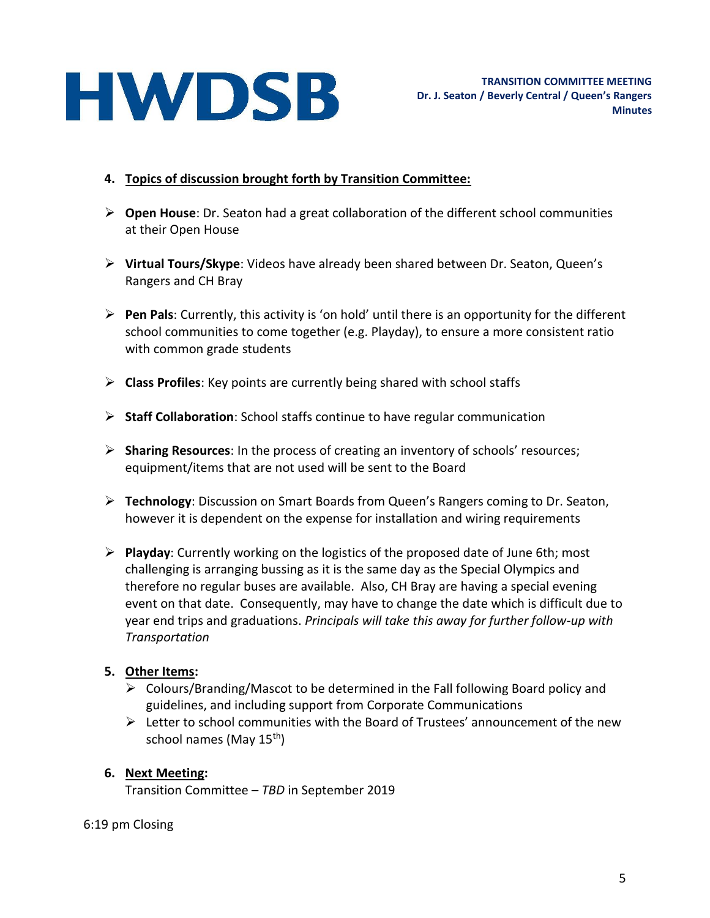#### **4. Topics of discussion brought forth by Transition Committee:**

- **Open House**: Dr. Seaton had a great collaboration of the different school communities at their Open House
- **Virtual Tours/Skype**: Videos have already been shared between Dr. Seaton, Queen's Rangers and CH Bray
- **Pen Pals**: Currently, this activity is 'on hold' until there is an opportunity for the different school communities to come together (e.g. Playday), to ensure a more consistent ratio with common grade students
- **Class Profiles**: Key points are currently being shared with school staffs
- **Staff Collaboration**: School staffs continue to have regular communication
- **Sharing Resources**: In the process of creating an inventory of schools' resources; equipment/items that are not used will be sent to the Board
- **Technology**: Discussion on Smart Boards from Queen's Rangers coming to Dr. Seaton, however it is dependent on the expense for installation and wiring requirements
- **Playday**: Currently working on the logistics of the proposed date of June 6th; most challenging is arranging bussing as it is the same day as the Special Olympics and therefore no regular buses are available. Also, CH Bray are having a special evening event on that date. Consequently, may have to change the date which is difficult due to year end trips and graduations. *Principals will take this away for further follow-up with Transportation*

#### **5. Other Items:**

- $\triangleright$  Colours/Branding/Mascot to be determined in the Fall following Board policy and guidelines, and including support from Corporate Communications
- $\triangleright$  Letter to school communities with the Board of Trustees' announcement of the new school names (May 15<sup>th</sup>)

## **6. Next Meeting:**

Transition Committee – *TBD* in September 2019

#### 6:19 pm Closing